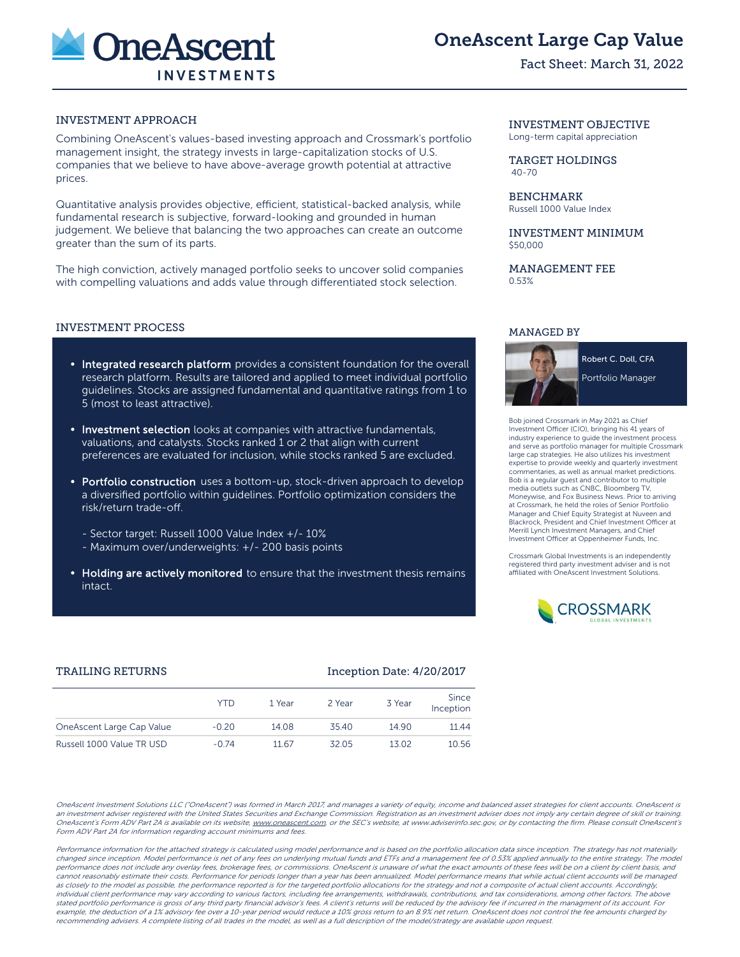

OneAscent Large Cap Value

## Fact Sheet: March 31, 2022

## INVESTMENT APPROACH

Combining OneAscent's values-based investing approach and Crossmark's portfolio management insight, the strategy invests in large-capitalization stocks of U.S. companies that we believe to have above-average growth potential at attractive prices.

Quantitative analysis provides objective, efficient, statistical-backed analysis, while fundamental research is subjective, forward-looking and grounded in human judgement. We believe that balancing the two approaches can create an outcome greater than the sum of its parts.

The high conviction, actively managed portfolio seeks to uncover solid companies with compelling valuations and adds value through differentiated stock selection.

#### INVESTMENT PROCESS

- Integrated research platform provides a consistent foundation for the overall research platform. Results are tailored and applied to meet individual portfolio guidelines. Stocks are assigned fundamental and quantitative ratings from 1 to 5 (most to least attractive).
- **Investment selection** looks at companies with attractive fundamentals, valuations, and catalysts. Stocks ranked 1 or 2 that align with current preferences are evaluated for inclusion, while stocks ranked 5 are excluded.
- Portfolio construction uses a bottom-up, stock-driven approach to develop a diversified portfolio within guidelines. Portfolio optimization considers the risk/return trade-off.
	- Sector target: Russell 1000 Value Index +/- 10%
	- Maximum over/underweights: +/- 200 basis points
- Holding are actively monitored to ensure that the investment thesis remains intact.

#### INVESTMENT OBJECTIVE Long-term capital appreciation

TARGET HOLDINGS 40-70

BENCHMARK Russell 1000 Value Index

INVESTMENT MINIMUM \$50,000

MANAGEMENT FEE 0.53%

## MANAGED BY



Bob joined Crossmark in May 2021 as Chief Investment Officer (CIO), bringing his 41 years of industry experience to guide the investment process and serve as portfolio manager for multiple Crossmark large cap strategies. He also utilizes his investment expertise to provide weekly and quarterly investment commentaries, as well as annual market predictions. Bob is a regular guest and contributor to multiple media outlets such as CNBC, Bloomberg TV, Moneywise, and Fox Business News. Prior to arriving at Crossmark, he held the roles of Senior Portfolio Manager and Chief Equity Strategist at Nuveen and Blackrock, President and Chief Investment Officer at Merrill Lynch Investment Managers, and Chief Investment Officer at Oppenheimer Funds, Inc.

Crossmark Global Investments is an independently registered third party investment adviser and is not affiliated with OneAscent Investment Solutions.



## TRAILING RETURNS **Inception Date: 4/20/2017**

|                           | YTD     | 1 Year | 2 Year | 3 Year | Since              |
|---------------------------|---------|--------|--------|--------|--------------------|
| OneAscent Large Cap Value | $-0.20$ | 14.08  | 35.40  | 14 90  | Inception<br>11.44 |
| Russell 1000 Value TR USD | $-0.74$ | 11.67  | 32.05  | 13.02  | 10.56              |
|                           |         |        |        |        |                    |

OneAscent Investment Solutions LLC ("OneAscent") was formed in March 2017, and manages a variety of equity, income and balanced asset strategies for client accounts. OneAscent is an investment adviser registered with the United States Securities and Exchange Commission. Registration as an investment adviser does not imply any certain degree of skill or training. OneAscent's Form ADV Part 2A is available on its website, www.oneascent.com or the SEC's website, at www.adviserinfo.sec.gov, or by contacting the firm. Please consult OneAscent's Form ADV Part 2A for information regarding account minimums and fees.

Performance information for the attached strategy is calculated using model performance and is based on the portfolio allocation data since inception. The strategy has not materially changed since inception. Model performance is net of any fees on underlying mutual funds and ETFs and a management fee of 0.53% applied annually to the entire strategy. The model performance does not include any overlay fees, brokerage fees, or commissions. OneAscent is unaware of what the exact amounts of these fees will be on a client by client basis, and cannot reasonably estimate their costs. Performance for periods longer than a year has been annualized. Model performance means that while actual client accounts will be managed as closely to the model as possible, the performance reported is for the targeted portfolio allocations for the strategy and not a composite of actual client accounts. Accordingly, individual client performance may vary according to various factors, including fee arrangements, withdrawals, contributions, and tax considerations, among other factors. The above stated portfolio performance is gross of any third party financial advisor's fees. A client's returns will be reduced by the advisory fee if incurred in the managment of its account. For example, the deduction of a 1% advisory fee over a 10-year period would reduce a 10% gross return to an 8.9% net return. OneAscent does not control the fee amounts charged by recommending advisers. A complete listing of all trades in the model, as well as a full description of the model/strategy are available upon request.